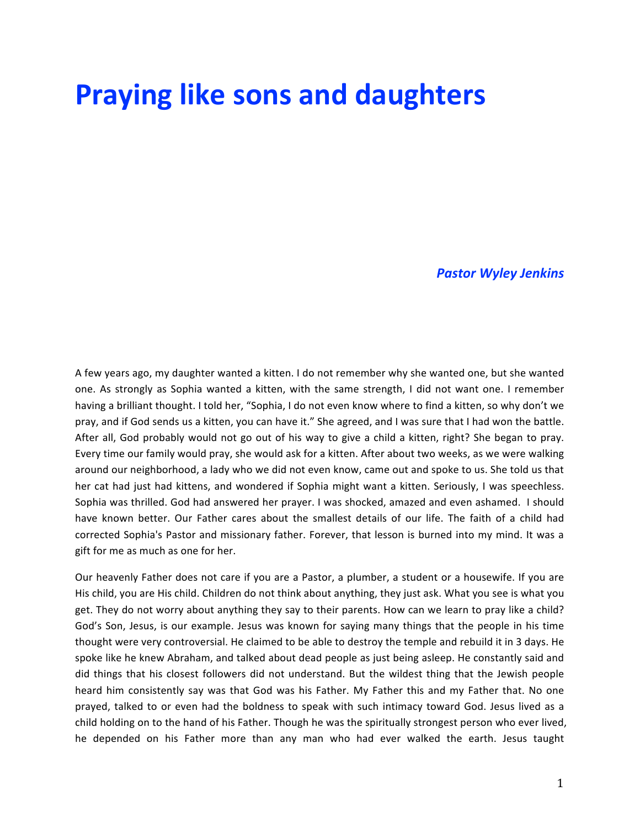# **Praying like sons and daughters**

#### *Pastor Wyley Jenkins*

A few years ago, my daughter wanted a kitten. I do not remember why she wanted one, but she wanted one. As strongly as Sophia wanted a kitten, with the same strength, I did not want one. I remember having a brilliant thought. I told her, "Sophia, I do not even know where to find a kitten, so why don't we pray, and if God sends us a kitten, you can have it." She agreed, and I was sure that I had won the battle. After all, God probably would not go out of his way to give a child a kitten, right? She began to pray. Every time our family would pray, she would ask for a kitten. After about two weeks, as we were walking around our neighborhood, a lady who we did not even know, came out and spoke to us. She told us that her cat had just had kittens, and wondered if Sophia might want a kitten. Seriously, I was speechless. Sophia was thrilled. God had answered her prayer. I was shocked, amazed and even ashamed. I should have known better. Our Father cares about the smallest details of our life. The faith of a child had corrected Sophia's Pastor and missionary father. Forever, that lesson is burned into my mind. It was a gift for me as much as one for her.

Our heavenly Father does not care if you are a Pastor, a plumber, a student or a housewife. If you are His child, you are His child. Children do not think about anything, they just ask. What you see is what you get. They do not worry about anything they say to their parents. How can we learn to pray like a child? God's Son, Jesus, is our example. Jesus was known for saying many things that the people in his time thought were very controversial. He claimed to be able to destroy the temple and rebuild it in 3 days. He spoke like he knew Abraham, and talked about dead people as just being asleep. He constantly said and did things that his closest followers did not understand. But the wildest thing that the Jewish people heard him consistently say was that God was his Father. My Father this and my Father that. No one prayed, talked to or even had the boldness to speak with such intimacy toward God. Jesus lived as a child holding on to the hand of his Father. Though he was the spiritually strongest person who ever lived, he depended on his Father more than any man who had ever walked the earth. Jesus taught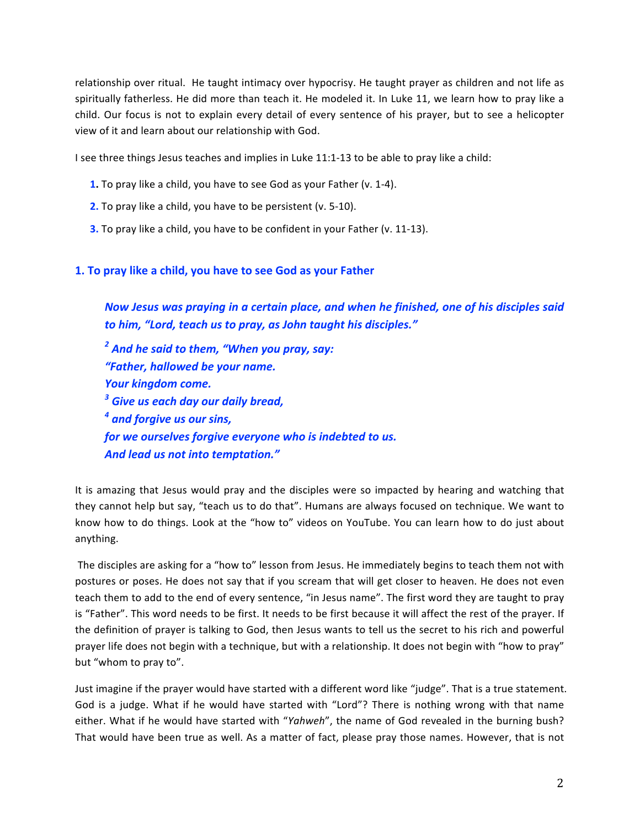relationship over ritual. He taught intimacy over hypocrisy. He taught prayer as children and not life as spiritually fatherless. He did more than teach it. He modeled it. In Luke 11, we learn how to pray like a child. Our focus is not to explain every detail of every sentence of his prayer, but to see a helicopter view of it and learn about our relationship with God.

I see three things Jesus teaches and implies in Luke 11:1-13 to be able to pray like a child:

- **1.** To pray like a child, you have to see God as your Father (v. 1-4).
- **2.** To pray like a child, you have to be persistent (v. 5-10).
- **3.** To pray like a child, you have to be confident in your Father (v. 11-13).

## **1. To pray like a child, you have to see God as your Father**

*Now Jesus was praying in a certain place, and when he finished, one of his disciples said* to him, "Lord, teach us to pray, as John taught his disciples."

<sup>2</sup> And he said to them, "When you pray, say: *"Father, hallowed be your name.* Your kingdom come. <sup>3</sup> Give us each day our daily bread, <sup>4</sup> and forgive us our sins, *for we ourselves forgive everyone who is indebted to us.* And lead us not into temptation."

It is amazing that Jesus would pray and the disciples were so impacted by hearing and watching that they cannot help but say, "teach us to do that". Humans are always focused on technique. We want to know how to do things. Look at the "how to" videos on YouTube. You can learn how to do just about anything.

The disciples are asking for a "how to" lesson from Jesus. He immediately begins to teach them not with postures or poses. He does not say that if you scream that will get closer to heaven. He does not even teach them to add to the end of every sentence, "in Jesus name". The first word they are taught to pray is "Father". This word needs to be first. It needs to be first because it will affect the rest of the prayer. If the definition of prayer is talking to God, then Jesus wants to tell us the secret to his rich and powerful prayer life does not begin with a technique, but with a relationship. It does not begin with "how to pray" but "whom to pray to".

Just imagine if the prayer would have started with a different word like "judge". That is a true statement. God is a judge. What if he would have started with "Lord"? There is nothing wrong with that name either. What if he would have started with "Yahweh", the name of God revealed in the burning bush? That would have been true as well. As a matter of fact, please pray those names. However, that is not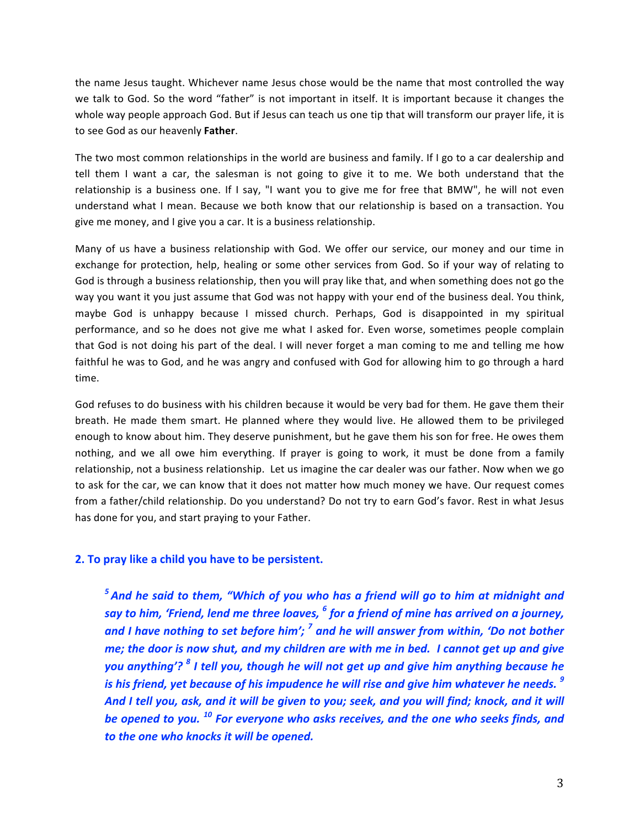the name Jesus taught. Whichever name Jesus chose would be the name that most controlled the way we talk to God. So the word "father" is not important in itself. It is important because it changes the whole way people approach God. But if Jesus can teach us one tip that will transform our prayer life, it is to see God as our heavenly Father.

The two most common relationships in the world are business and family. If I go to a car dealership and tell them I want a car, the salesman is not going to give it to me. We both understand that the relationship is a business one. If I say, "I want you to give me for free that BMW", he will not even understand what I mean. Because we both know that our relationship is based on a transaction. You give me money, and I give you a car. It is a business relationship.

Many of us have a business relationship with God. We offer our service, our money and our time in exchange for protection, help, healing or some other services from God. So if your way of relating to God is through a business relationship, then you will pray like that, and when something does not go the way you want it you just assume that God was not happy with your end of the business deal. You think, maybe God is unhappy because I missed church. Perhaps, God is disappointed in my spiritual performance, and so he does not give me what I asked for. Even worse, sometimes people complain that God is not doing his part of the deal. I will never forget a man coming to me and telling me how faithful he was to God, and he was angry and confused with God for allowing him to go through a hard time. 

God refuses to do business with his children because it would be very bad for them. He gave them their breath. He made them smart. He planned where they would live. He allowed them to be privileged enough to know about him. They deserve punishment, but he gave them his son for free. He owes them nothing, and we all owe him everything. If prayer is going to work, it must be done from a family relationship, not a business relationship. Let us imagine the car dealer was our father. Now when we go to ask for the car, we can know that it does not matter how much money we have. Our request comes from a father/child relationship. Do you understand? Do not try to earn God's favor. Rest in what Jesus has done for you, and start praying to your Father.

#### **2.** To pray like a child you have to be persistent.

<sup>5</sup> And he said to them, "Which of you who has a friend will go to him at midnight and *say* to him, 'Friend, lend me three loaves, <sup>6</sup> for a friend of mine has arrived on a journey, and I have nothing to set before him'; <sup>7</sup> and he will answer from within, 'Do not bother *me;* the door is now shut, and my children are with me in bed. I cannot get up and give *you* anything'?<sup>8</sup> *I* tell you, though he will not get up and give him anything because he *is* his friend, yet because of his impudence he will rise and give him whatever he needs.<sup>9</sup> And I tell you, ask, and it will be given to you; seek, and you will find; knock, and it will *be* opened to you.<sup>10</sup> For everyone who asks receives, and the one who seeks finds, and to the one who knocks it will be opened.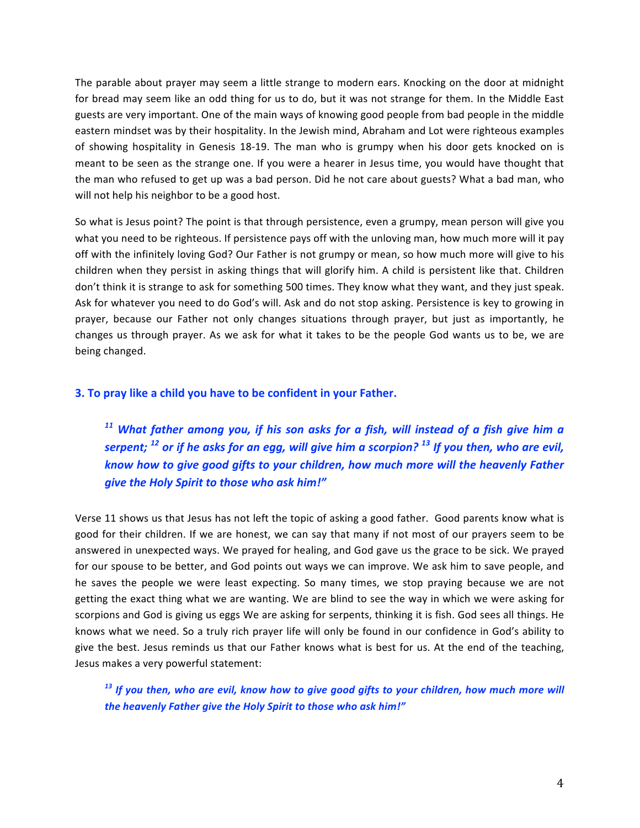The parable about prayer may seem a little strange to modern ears. Knocking on the door at midnight for bread may seem like an odd thing for us to do, but it was not strange for them. In the Middle East guests are very important. One of the main ways of knowing good people from bad people in the middle eastern mindset was by their hospitality. In the Jewish mind, Abraham and Lot were righteous examples of showing hospitality in Genesis 18-19. The man who is grumpy when his door gets knocked on is meant to be seen as the strange one. If you were a hearer in Jesus time, you would have thought that the man who refused to get up was a bad person. Did he not care about guests? What a bad man, who will not help his neighbor to be a good host.

So what is Jesus point? The point is that through persistence, even a grumpy, mean person will give you what you need to be righteous. If persistence pays off with the unloving man, how much more will it pay off with the infinitely loving God? Our Father is not grumpy or mean, so how much more will give to his children when they persist in asking things that will glorify him. A child is persistent like that. Children don't think it is strange to ask for something 500 times. They know what they want, and they just speak. Ask for whatever you need to do God's will. Ask and do not stop asking. Persistence is key to growing in prayer, because our Father not only changes situations through prayer, but just as importantly, he changes us through prayer. As we ask for what it takes to be the people God wants us to be, we are being changed.

### **3. To pray like a child you have to be confident in your Father.**

<sup>11</sup> What father among you, if his son asks for a fish, will instead of a fish give him a *serpent;* <sup>12</sup> or if he asks for an egg, will give him a scorpion? <sup>13</sup> If you then, who are evil, *know how to give good gifts to your children, how much more will the heavenly Father give the Holy Spirit to those who ask him!"* 

Verse 11 shows us that Jesus has not left the topic of asking a good father. Good parents know what is good for their children. If we are honest, we can say that many if not most of our prayers seem to be answered in unexpected ways. We prayed for healing, and God gave us the grace to be sick. We prayed for our spouse to be better, and God points out ways we can improve. We ask him to save people, and he saves the people we were least expecting. So many times, we stop praying because we are not getting the exact thing what we are wanting. We are blind to see the way in which we were asking for scorpions and God is giving us eggs We are asking for serpents, thinking it is fish. God sees all things. He knows what we need. So a truly rich prayer life will only be found in our confidence in God's ability to give the best. Jesus reminds us that our Father knows what is best for us. At the end of the teaching, Jesus makes a very powerful statement:

<sup>13</sup> If you then, who are evil, know how to give good gifts to your children, how much more will *the heavenly Father give the Holy Spirit to those who ask him!"*